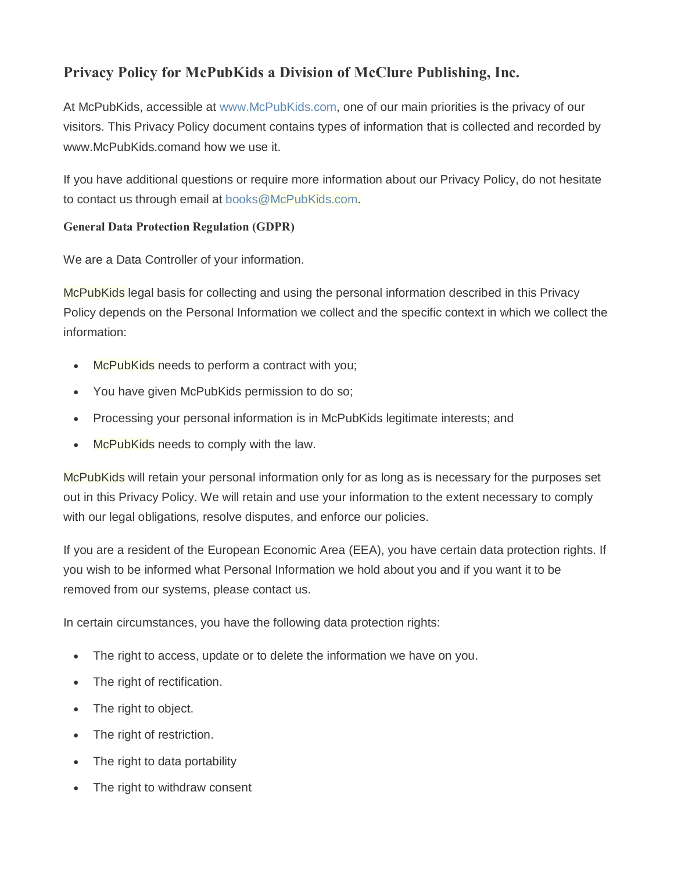# **Privacy Policy for McPubKids a Division of McClure Publishing, Inc.**

At McPubKids, accessible at www.McPubKids.com, one of our main priorities is the privacy of our visitors. This Privacy Policy document contains types of information that is collected and recorded by www.McPubKids.comand how we use it.

If you have additional questions or require more information about our Privacy Policy, do not hesitate to contact us through email at books@McPubKids.com.

## **General Data Protection Regulation (GDPR)**

We are a Data Controller of your information.

McPubKids legal basis for collecting and using the personal information described in this Privacy Policy depends on the Personal Information we collect and the specific context in which we collect the information:

- McPubKids needs to perform a contract with you;
- · You have given McPubKids permission to do so;
- · Processing your personal information is in McPubKids legitimate interests; and
- McPubKids needs to comply with the law.

McPubKids will retain your personal information only for as long as is necessary for the purposes set out in this Privacy Policy. We will retain and use your information to the extent necessary to comply with our legal obligations, resolve disputes, and enforce our policies.

If you are a resident of the European Economic Area (EEA), you have certain data protection rights. If you wish to be informed what Personal Information we hold about you and if you want it to be removed from our systems, please contact us.

In certain circumstances, you have the following data protection rights:

- · The right to access, update or to delete the information we have on you.
- · The right of rectification.
- · The right to object.
- · The right of restriction.
- · The right to data portability
- · The right to withdraw consent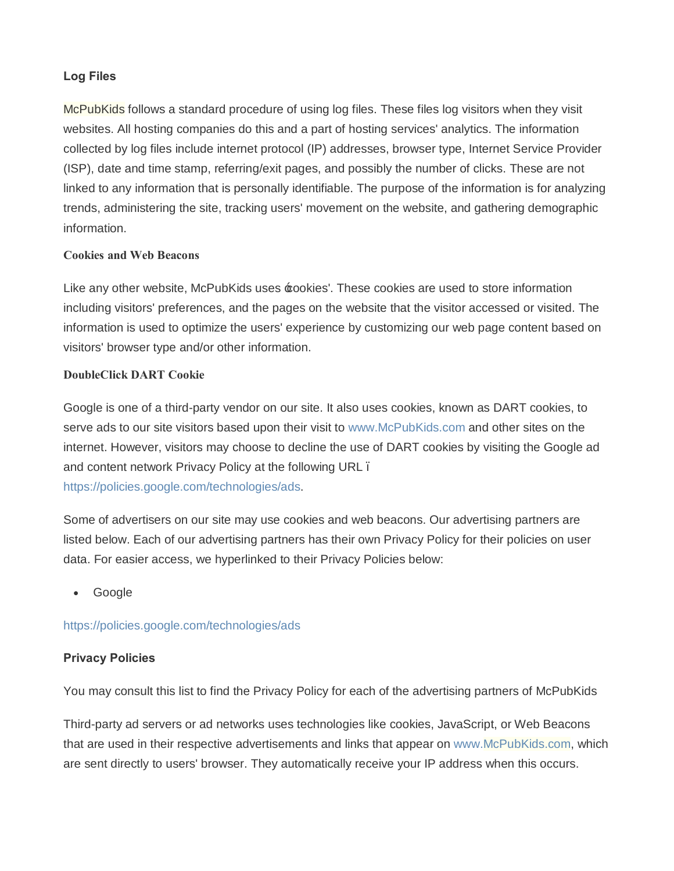## **Log Files**

McPubKids follows a standard procedure of using log files. These files log visitors when they visit websites. All hosting companies do this and a part of hosting services' analytics. The information collected by log files include internet protocol (IP) addresses, browser type, Internet Service Provider (ISP), date and time stamp, referring/exit pages, and possibly the number of clicks. These are not linked to any information that is personally identifiable. The purpose of the information is for analyzing trends, administering the site, tracking users' movement on the website, and gathering demographic information.

#### **Cookies and Web Beacons**

Like any other website, McPubKids uses  $\pm$ ookies'. These cookies are used to store information including visitors' preferences, and the pages on the website that the visitor accessed or visited. The information is used to optimize the users' experience by customizing our web page content based on visitors' browser type and/or other information.

#### **DoubleClick DART Cookie**

Google is one of a third-party vendor on our site. It also uses cookies, known as DART cookies, to serve ads to our site visitors based upon their visit to www.McPubKids.com and other sites on the internet. However, visitors may choose to decline the use of DART cookies by visiting the Google ad and content network Privacy Policy at the following URL. https://policies.google.com/technologies/ads.

Some of advertisers on our site may use cookies and web beacons. Our advertising partners are listed below. Each of our advertising partners has their own Privacy Policy for their policies on user data. For easier access, we hyperlinked to their Privacy Policies below:

· Google

### https://policies.google.com/technologies/ads

### **Privacy Policies**

You may consult this list to find the Privacy Policy for each of the advertising partners of McPubKids

Third-party ad servers or ad networks uses technologies like cookies, JavaScript, or Web Beacons that are used in their respective advertisements and links that appear on www.McPubKids.com, which are sent directly to users' browser. They automatically receive your IP address when this occurs.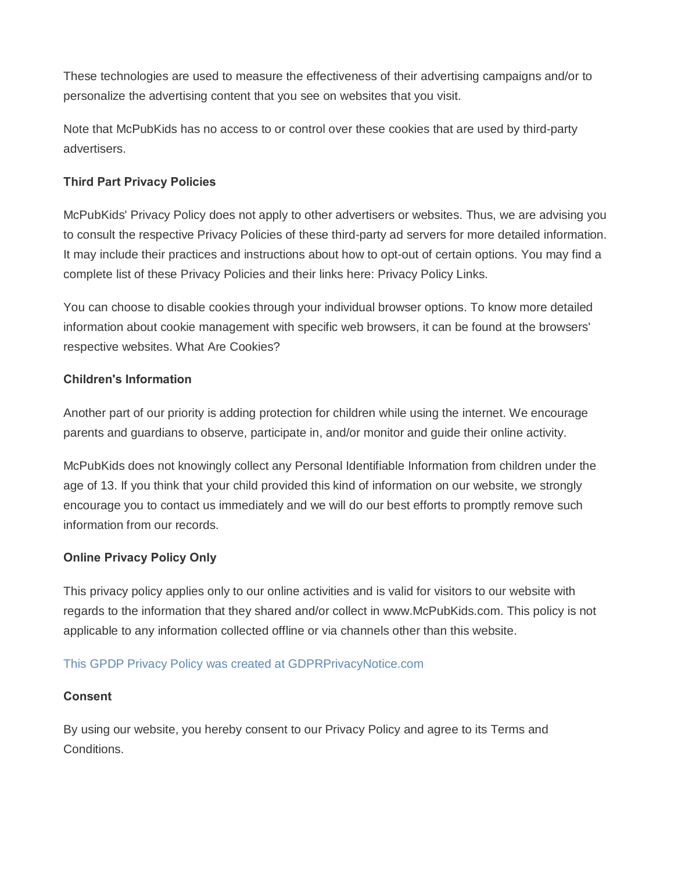These technologies are used to measure the effectiveness of their advertising campaigns and/or to personalize the advertising content that you see on websites that you visit.

Note that McPubKids has no access to or control over these cookies that are used by third-party advertisers.

## **Third Part Privacy Policies**

McPubKids' Privacy Policy does not apply to other advertisers or websites. Thus, we are advising you to consult the respective Privacy Policies of these third-party ad servers for more detailed information. It may include their practices and instructions about how to opt-out of certain options. You may find a complete list of these Privacy Policies and their links here: Privacy Policy Links.

You can choose to disable cookies through your individual browser options. To know more detailed information about cookie management with specific web browsers, it can be found at the browsers' respective websites. What Are Cookies?

## **Children's Information**

Another part of our priority is adding protection for children while using the internet. We encourage parents and guardians to observe, participate in, and/or monitor and guide their online activity.

McPubKids does not knowingly collect any Personal Identifiable Information from children under the age of 13. If you think that your child provided this kind of information on our website, we strongly encourage you to contact us immediately and we will do our best efforts to promptly remove such information from our records.

# **Online Privacy Policy Only**

This privacy policy applies only to our online activities and is valid for visitors to our website with regards to the information that they shared and/or collect in www.McPubKids.com. This policy is not applicable to any information collected offline or via channels other than this website.

### This GPDP Privacy Policy was created at GDPRPrivacyNotice.com

### **Consent**

By using our website, you hereby consent to our Privacy Policy and agree to its Terms and Conditions.